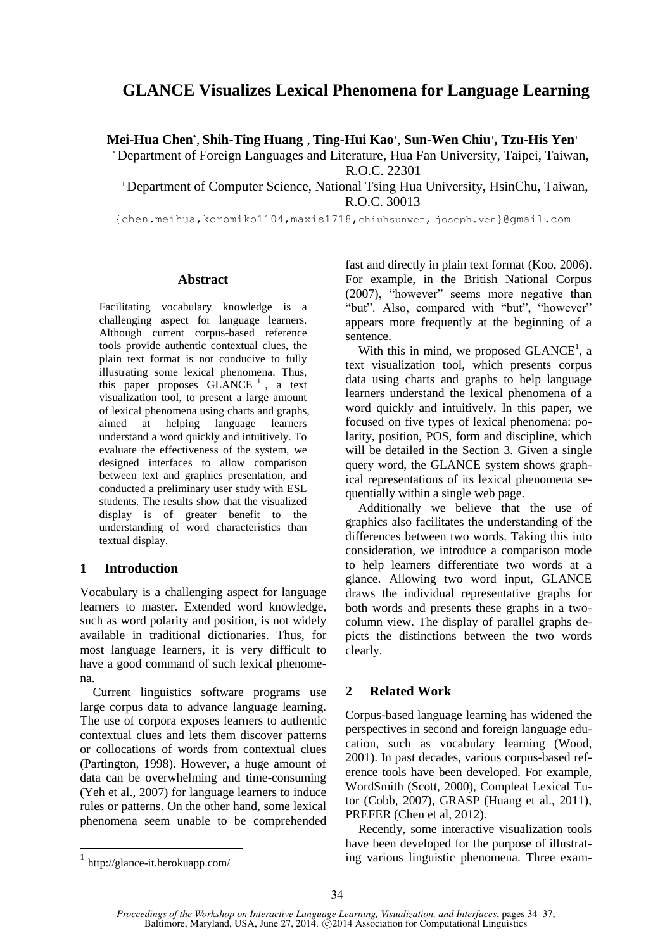# **GLANCE Visualizes Lexical Phenomena for Language Learning**

**Mei-Hua Chen\*** , **Shih-Ting Huang<sup>+</sup>** , **Ting-Hui Kao<sup>+</sup>** , **Sun-Wen Chiu<sup>+</sup> , Tzu-His Yen<sup>+</sup>**

\* Department of Foreign Languages and Literature, Hua Fan University, Taipei, Taiwan, R.O.C. 22301

<sup>+</sup>Department of Computer Science, National Tsing Hua University, HsinChu, Taiwan, R.O.C. 30013

{chen.meihua,koromiko1104,maxis1718,chiuhsunwen, joseph.yen}@gmail.com

## **Abstract**

Facilitating vocabulary knowledge is a challenging aspect for language learners. Although current corpus-based reference tools provide authentic contextual clues, the plain text format is not conducive to fully illustrating some lexical phenomena. Thus, this paper proposes  $GLANCE<sup>1</sup>$ , a text visualization tool, to present a large amount of lexical phenomena using charts and graphs, aimed at helping language learners understand a word quickly and intuitively. To evaluate the effectiveness of the system, we designed interfaces to allow comparison between text and graphics presentation, and conducted a preliminary user study with ESL students. The results show that the visualized display is of greater benefit to the understanding of word characteristics than textual display.

# **1 Introduction**

Vocabulary is a challenging aspect for language learners to master. Extended word knowledge, such as word polarity and position, is not widely available in traditional dictionaries. Thus, for most language learners, it is very difficult to have a good command of such lexical phenomena.

Current linguistics software programs use large corpus data to advance language learning. The use of corpora exposes learners to authentic contextual clues and lets them discover patterns or collocations of words from contextual clues (Partington, 1998). However, a huge amount of data can be overwhelming and time-consuming (Yeh et al., 2007) for language learners to induce rules or patterns. On the other hand, some lexical phenomena seem unable to be comprehended

fast and directly in plain text format (Koo, 2006). For example, in the British National Corpus (2007), "however" seems more negative than "but". Also, compared with "but", "however" appears more frequently at the beginning of a sentence.

With this in mind, we proposed  $GLANCE<sup>1</sup>$ , a text visualization tool, which presents corpus data using charts and graphs to help language learners understand the lexical phenomena of a word quickly and intuitively. In this paper, we focused on five types of lexical phenomena: polarity, position, POS, form and discipline, which will be detailed in the Section 3. Given a single query word, the GLANCE system shows graphical representations of its lexical phenomena sequentially within a single web page.

Additionally we believe that the use of graphics also facilitates the understanding of the differences between two words. Taking this into consideration, we introduce a comparison mode to help learners differentiate two words at a glance. Allowing two word input, GLANCE draws the individual representative graphs for both words and presents these graphs in a twocolumn view. The display of parallel graphs depicts the distinctions between the two words clearly.

# **2 Related Work**

Corpus-based language learning has widened the perspectives in second and foreign language education, such as vocabulary learning (Wood, 2001). In past decades, various corpus-based reference tools have been developed. For example, WordSmith (Scott, 2000), Compleat Lexical Tutor (Cobb, 2007), GRASP (Huang et al., 2011), PREFER (Chen et al, 2012).

Recently, some interactive visualization tools have been developed for the purpose of illustrating various linguistic phenomena. Three exam-

<sup>1</sup> http://glance-it.herokuapp.com/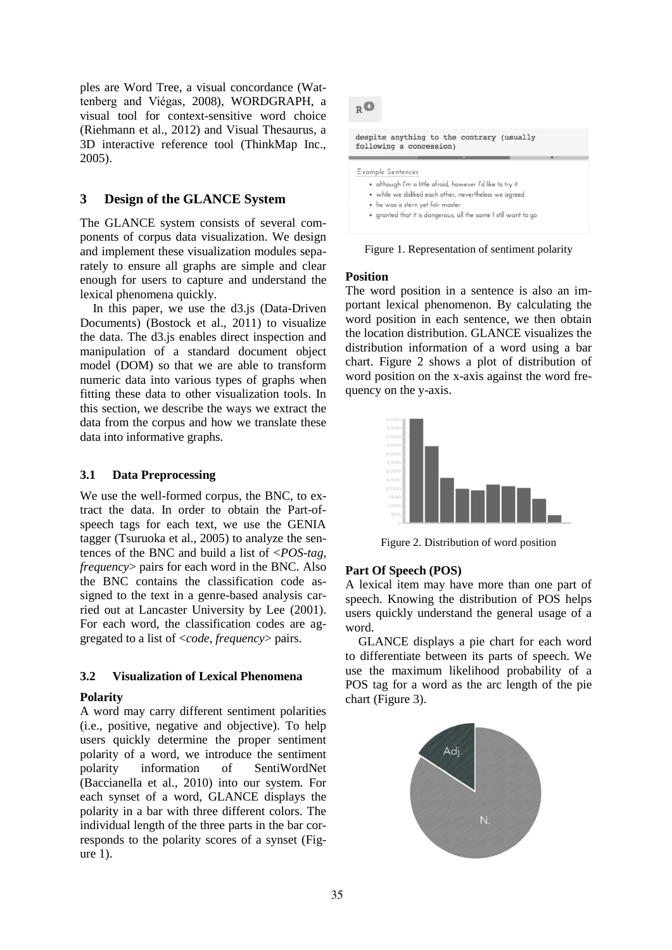ples are Word Tree, a visual concordance (Wattenberg and Viégas, 2008), WORDGRAPH, a visual tool for context-sensitive word choice (Riehmann et al., 2012) and Visual Thesaurus, a 3D interactive reference tool (ThinkMap Inc., 2005).

# **3 Design of the GLANCE System**

The GLANCE system consists of several components of corpus data visualization. We design and implement these visualization modules separately to ensure all graphs are simple and clear enough for users to capture and understand the lexical phenomena quickly.

In this paper, we use the d3.js (Data-Driven Documents) (Bostock et al., 2011) to visualize the data. The d3.js enables direct inspection and manipulation of a standard document object model (DOM) so that we are able to transform numeric data into various types of graphs when fitting these data to other visualization tools. In this section, we describe the ways we extract the data from the corpus and how we translate these data into informative graphs.

### **3.1 Data Preprocessing**

We use the well-formed corpus, the BNC, to extract the data. In order to obtain the Part-ofspeech tags for each text, we use the GENIA tagger (Tsuruoka et al., 2005) to analyze the sentences of the BNC and build a list of <*POS-tag*, *frequency*> pairs for each word in the BNC. Also the BNC contains the classification code assigned to the text in a genre-based analysis carried out at Lancaster University by Lee (2001). For each word, the classification codes are aggregated to a list of <*code*, *frequency*> pairs.

## **3.2 Visualization of Lexical Phenomena**

#### **Polarity**

A word may carry different sentiment polarities (i.e., positive, negative and objective). To help users quickly determine the proper sentiment polarity of a word, we introduce the sentiment polarity information of SentiWordNet (Baccianella et al., 2010) into our system. For each synset of a word, GLANCE displays the polarity in a bar with three different colors. The individual length of the three parts in the bar corresponds to the polarity scores of a synset (Figure 1).

 $R^{\bullet}$ 

despite anything to the contrary (usually following a concession)

#### Example Sentences

- · although I'm a little afraid, however I'd like to try it
- . while we disliked each other, nevertheless we agreed
- · he was a stern yet fair master
- · granted that it is dangerous, all the same I still want to go

Figure 1. Representation of sentiment polarity

#### **Position**

The word position in a sentence is also an important lexical phenomenon. By calculating the word position in each sentence, we then obtain the location distribution. GLANCE visualizes the distribution information of a word using a bar chart. Figure 2 shows a plot of distribution of word position on the x-axis against the word frequency on the y-axis.



Figure 2. Distribution of word position

#### **Part Of Speech (POS)**

A lexical item may have more than one part of speech. Knowing the distribution of POS helps users quickly understand the general usage of a word.

GLANCE displays a pie chart for each word to differentiate between its parts of speech. We use the maximum likelihood probability of a POS tag for a word as the arc length of the pie chart (Figure 3).

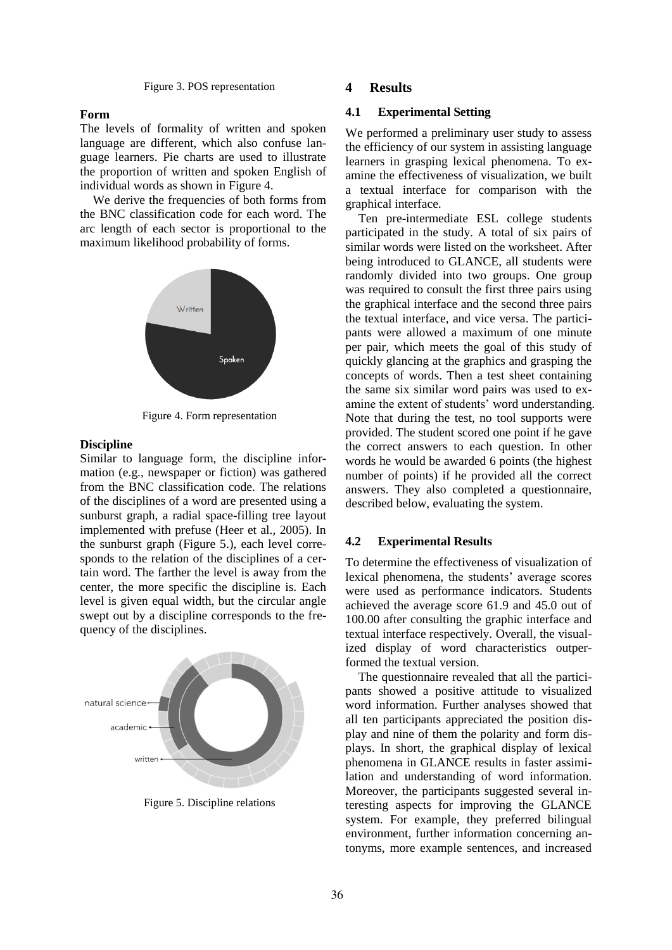Figure 3. POS representation

#### **Form**

The levels of formality of written and spoken language are different, which also confuse language learners. Pie charts are used to illustrate the proportion of written and spoken English of individual words as shown in Figure 4.

We derive the frequencies of both forms from the BNC classification code for each word. The arc length of each sector is proportional to the maximum likelihood probability of forms.



Figure 4. Form representation

### **Discipline**

Similar to language form, the discipline information (e.g., newspaper or fiction) was gathered from the BNC classification code. The relations of the disciplines of a word are presented using a sunburst graph, a radial space-filling tree layout implemented with prefuse (Heer et al., 2005). In the sunburst graph (Figure 5.), each level corresponds to the relation of the disciplines of a certain word. The farther the level is away from the center, the more specific the discipline is. Each level is given equal width, but the circular angle swept out by a discipline corresponds to the frequency of the disciplines.



Figure 5. Discipline relations

#### **4 Results**

#### **4.1 Experimental Setting**

We performed a preliminary user study to assess the efficiency of our system in assisting language learners in grasping lexical phenomena. To examine the effectiveness of visualization, we built a textual interface for comparison with the graphical interface.

Ten pre-intermediate ESL college students participated in the study. A total of six pairs of similar words were listed on the worksheet. After being introduced to GLANCE, all students were randomly divided into two groups. One group was required to consult the first three pairs using the graphical interface and the second three pairs the textual interface, and vice versa. The participants were allowed a maximum of one minute per pair, which meets the goal of this study of quickly glancing at the graphics and grasping the concepts of words. Then a test sheet containing the same six similar word pairs was used to examine the extent of students' word understanding. Note that during the test, no tool supports were provided. The student scored one point if he gave the correct answers to each question. In other words he would be awarded 6 points (the highest number of points) if he provided all the correct answers. They also completed a questionnaire, described below, evaluating the system.

#### **4.2 Experimental Results**

To determine the effectiveness of visualization of lexical phenomena, the students' average scores were used as performance indicators. Students achieved the average score 61.9 and 45.0 out of 100.00 after consulting the graphic interface and textual interface respectively. Overall, the visualized display of word characteristics outperformed the textual version.

The questionnaire revealed that all the participants showed a positive attitude to visualized word information. Further analyses showed that all ten participants appreciated the position display and nine of them the polarity and form displays. In short, the graphical display of lexical phenomena in GLANCE results in faster assimilation and understanding of word information. Moreover, the participants suggested several interesting aspects for improving the GLANCE system. For example, they preferred bilingual environment, further information concerning antonyms, more example sentences, and increased